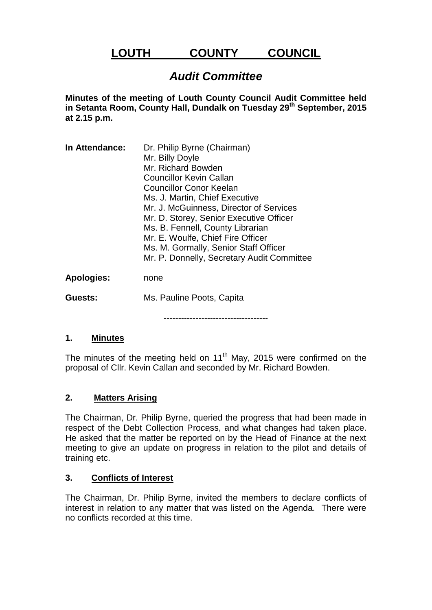# **LOUTH COUNTY COUNCIL**

## *Audit Committee*

**Minutes of the meeting of Louth County Council Audit Committee held in Setanta Room, County Hall, Dundalk on Tuesday 29th September, 2015 at 2.15 p.m.**

| In Attendance:    | Dr. Philip Byrne (Chairman)<br>Mr. Billy Doyle<br>Mr. Richard Bowden<br><b>Councillor Kevin Callan</b><br>Councillor Conor Keelan<br>Ms. J. Martin, Chief Executive<br>Mr. J. McGuinness, Director of Services<br>Mr. D. Storey, Senior Executive Officer<br>Ms. B. Fennell, County Librarian |
|-------------------|-----------------------------------------------------------------------------------------------------------------------------------------------------------------------------------------------------------------------------------------------------------------------------------------------|
|                   | Mr. E. Woulfe, Chief Fire Officer<br>Ms. M. Gormally, Senior Staff Officer<br>Mr. P. Donnelly, Secretary Audit Committee                                                                                                                                                                      |
| <b>Apologies:</b> | none                                                                                                                                                                                                                                                                                          |
| Guests:           | Ms. Pauline Poots, Capita                                                                                                                                                                                                                                                                     |

------------------------------------

#### **1. Minutes**

The minutes of the meeting held on  $11<sup>th</sup>$  May, 2015 were confirmed on the proposal of Cllr. Kevin Callan and seconded by Mr. Richard Bowden.

### **2. Matters Arising**

The Chairman, Dr. Philip Byrne, queried the progress that had been made in respect of the Debt Collection Process, and what changes had taken place. He asked that the matter be reported on by the Head of Finance at the next meeting to give an update on progress in relation to the pilot and details of training etc.

#### **3. Conflicts of Interest**

The Chairman, Dr. Philip Byrne, invited the members to declare conflicts of interest in relation to any matter that was listed on the Agenda. There were no conflicts recorded at this time.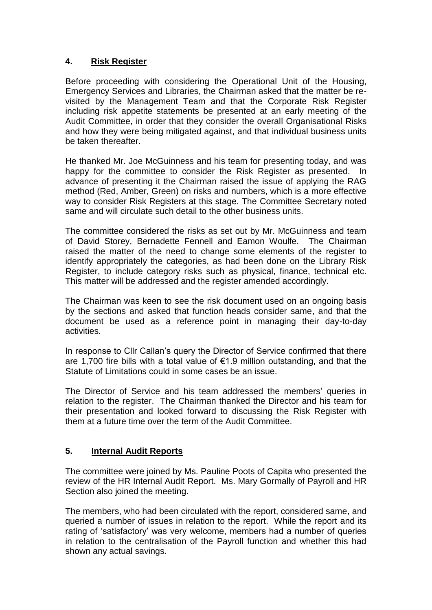## **4. Risk Register**

Before proceeding with considering the Operational Unit of the Housing, Emergency Services and Libraries, the Chairman asked that the matter be revisited by the Management Team and that the Corporate Risk Register including risk appetite statements be presented at an early meeting of the Audit Committee, in order that they consider the overall Organisational Risks and how they were being mitigated against, and that individual business units be taken thereafter.

He thanked Mr. Joe McGuinness and his team for presenting today, and was happy for the committee to consider the Risk Register as presented. In advance of presenting it the Chairman raised the issue of applying the RAG method (Red, Amber, Green) on risks and numbers, which is a more effective way to consider Risk Registers at this stage. The Committee Secretary noted same and will circulate such detail to the other business units.

The committee considered the risks as set out by Mr. McGuinness and team of David Storey, Bernadette Fennell and Eamon Woulfe. The Chairman raised the matter of the need to change some elements of the register to identify appropriately the categories, as had been done on the Library Risk Register, to include category risks such as physical, finance, technical etc. This matter will be addressed and the register amended accordingly.

The Chairman was keen to see the risk document used on an ongoing basis by the sections and asked that function heads consider same, and that the document be used as a reference point in managing their day-to-day activities.

In response to Cllr Callan's query the Director of Service confirmed that there are 1,700 fire bills with a total value of €1.9 million outstanding, and that the Statute of Limitations could in some cases be an issue.

The Director of Service and his team addressed the members' queries in relation to the register. The Chairman thanked the Director and his team for their presentation and looked forward to discussing the Risk Register with them at a future time over the term of the Audit Committee.

## **5. Internal Audit Reports**

The committee were joined by Ms. Pauline Poots of Capita who presented the review of the HR Internal Audit Report. Ms. Mary Gormally of Payroll and HR Section also joined the meeting.

The members, who had been circulated with the report, considered same, and queried a number of issues in relation to the report. While the report and its rating of 'satisfactory' was very welcome, members had a number of queries in relation to the centralisation of the Payroll function and whether this had shown any actual savings.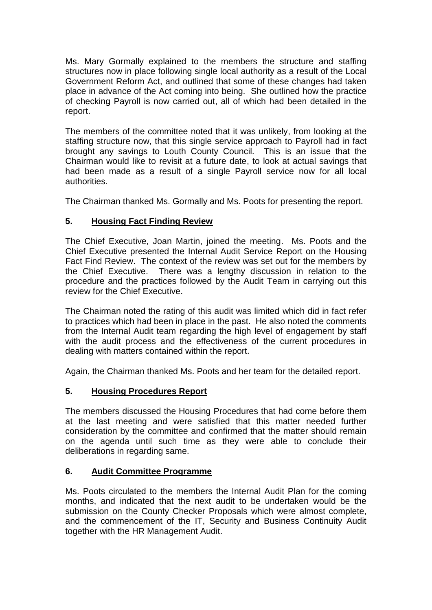Ms. Mary Gormally explained to the members the structure and staffing structures now in place following single local authority as a result of the Local Government Reform Act, and outlined that some of these changes had taken place in advance of the Act coming into being. She outlined how the practice of checking Payroll is now carried out, all of which had been detailed in the report.

The members of the committee noted that it was unlikely, from looking at the staffing structure now, that this single service approach to Payroll had in fact brought any savings to Louth County Council. This is an issue that the Chairman would like to revisit at a future date, to look at actual savings that had been made as a result of a single Payroll service now for all local authorities.

The Chairman thanked Ms. Gormally and Ms. Poots for presenting the report.

## **5. Housing Fact Finding Review**

The Chief Executive, Joan Martin, joined the meeting. Ms. Poots and the Chief Executive presented the Internal Audit Service Report on the Housing Fact Find Review. The context of the review was set out for the members by the Chief Executive. There was a lengthy discussion in relation to the procedure and the practices followed by the Audit Team in carrying out this review for the Chief Executive.

The Chairman noted the rating of this audit was limited which did in fact refer to practices which had been in place in the past. He also noted the comments from the Internal Audit team regarding the high level of engagement by staff with the audit process and the effectiveness of the current procedures in dealing with matters contained within the report.

Again, the Chairman thanked Ms. Poots and her team for the detailed report.

## **5. Housing Procedures Report**

The members discussed the Housing Procedures that had come before them at the last meeting and were satisfied that this matter needed further consideration by the committee and confirmed that the matter should remain on the agenda until such time as they were able to conclude their deliberations in regarding same.

## **6. Audit Committee Programme**

Ms. Poots circulated to the members the Internal Audit Plan for the coming months, and indicated that the next audit to be undertaken would be the submission on the County Checker Proposals which were almost complete, and the commencement of the IT, Security and Business Continuity Audit together with the HR Management Audit.